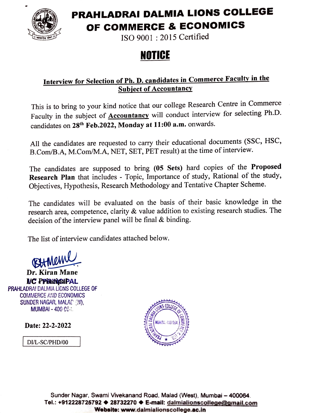

### PRAHLADRAI DALMIA LIONS COLLEGE OF COMMERCE & ECONOMICS

ISO 9001: 2015 Certified

## NOTICE

#### Interview for Selection of Ph. D. candidates in Commerce Faculty in the **Subject of Accountancy**

This is to bring to your kind notice that our college Research Centre in Commerce Faculty in the subject of **Accountancy** will conduct interview for selecting Ph.D. candidates on 28th Feb.2022, Monday at 11:00 a.m. onwards.

All the candidates are requested to carry their educational documents (SSC, HSC, B.Com/B.A, M.Com/M.A, NET, SET, PET result) at the time of interview.

The candidates are supposed to bring (05 Sets) hard copies of the Proposed Research Plan that includes - Topic, Importance of study, Rational of the study, Objectives, Hypothesis, Research Methodology and Tentative Chapter Scheme.

The candidates will be evaluated on the basis of their basic knowledge in the research area, competence, clarity & value addition to existing research studies. The decision of the interview panel will be final & binding.

The list of interview candidates attached below.

**BHMEM** 

Dr. Kiran Mane VC PPaiicIPAL PRAHLADRA! DALMIA LIONS COLLEGE OF COAMERCE AIND ECONOMICS SUNDER NAGAR, MALAT (W).  $MUMBAI - 400$   $0@$ .

**Date: 22-2-2022**  $\frac{1}{3}$ 

DI/L-SC/PHD/00



Sunder Nagar, Swami Vivekanand Road, Malad (West), Mumbai - 400064. Tel.: +912228725792 ♦ 28732270 ♦ E-mail: dalmialionscollege@gmail.com Website: www.dalmialionscollege.ac.in